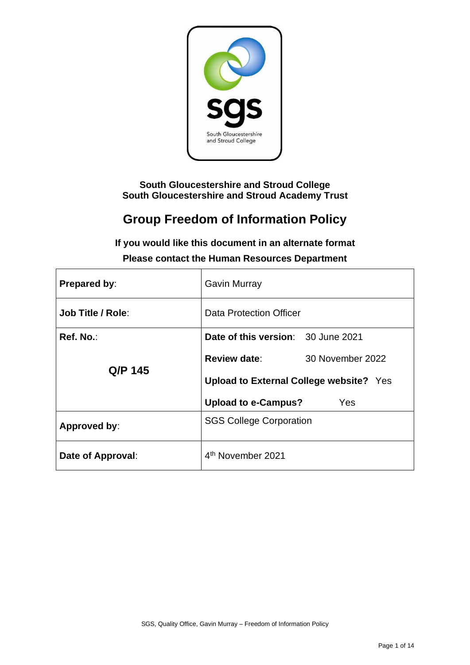

**South Gloucestershire and Stroud College South Gloucestershire and Stroud Academy Trust**

# **Group Freedom of Information Policy**

| <b>Prepared by:</b>      | <b>Gavin Murray</b>                            |  |
|--------------------------|------------------------------------------------|--|
| <b>Job Title / Role:</b> | Data Protection Officer                        |  |
| Ref. No.:                | Date of this version: 30 June 2021             |  |
|                          | <b>Review date:</b><br>30 November 2022        |  |
| Q/P 145                  | <b>Upload to External College website?</b> Yes |  |
|                          | <b>Upload to e-Campus?</b><br>Yes              |  |
| Approved by:             | <b>SGS College Corporation</b>                 |  |
| Date of Approval:        | 4 <sup>th</sup> November 2021                  |  |

**If you would like this document in an alternate format Please contact the Human Resources Department**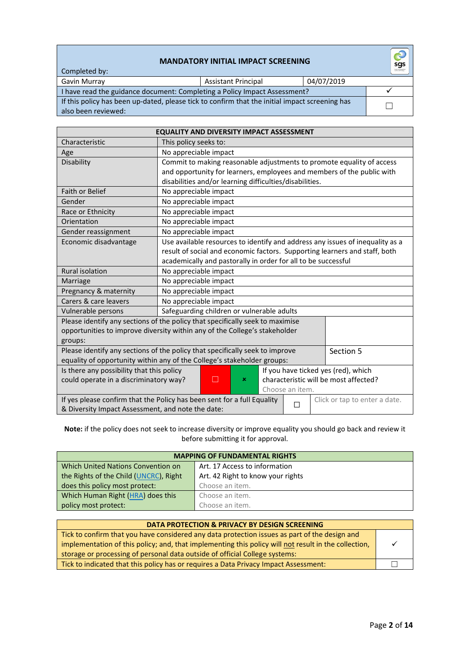#### **MANDATORY INITIAL IMPACT SCREENING**

| Completed by:                                                                                  | <b>MANDATORY INITIAL IMPACT SCREENING</b> |            | $\mathbf{\hat{c}}$<br>sgs |
|------------------------------------------------------------------------------------------------|-------------------------------------------|------------|---------------------------|
| Gavin Murray                                                                                   | <b>Assistant Principal</b>                | 04/07/2019 |                           |
| I have read the guidance document: Completing a Policy Impact Assessment?                      |                                           |            |                           |
| If this policy has been up-dated, please tick to confirm that the initial impact screening has |                                           |            |                           |
| also been reviewed:                                                                            |                                           |            |                           |

| <b>EQUALITY AND DIVERSITY IMPACT ASSESSMENT</b>                                                               |                                                                               |  |  |
|---------------------------------------------------------------------------------------------------------------|-------------------------------------------------------------------------------|--|--|
| Characteristic                                                                                                | This policy seeks to:                                                         |  |  |
| Age                                                                                                           | No appreciable impact                                                         |  |  |
| Disability                                                                                                    | Commit to making reasonable adjustments to promote equality of access         |  |  |
|                                                                                                               | and opportunity for learners, employees and members of the public with        |  |  |
|                                                                                                               | disabilities and/or learning difficulties/disabilities.                       |  |  |
| <b>Faith or Belief</b>                                                                                        | No appreciable impact                                                         |  |  |
| Gender                                                                                                        | No appreciable impact                                                         |  |  |
| Race or Ethnicity                                                                                             | No appreciable impact                                                         |  |  |
| Orientation                                                                                                   | No appreciable impact                                                         |  |  |
| Gender reassignment                                                                                           | No appreciable impact                                                         |  |  |
| Economic disadvantage                                                                                         | Use available resources to identify and address any issues of inequality as a |  |  |
|                                                                                                               | result of social and economic factors. Supporting learners and staff, both    |  |  |
|                                                                                                               | academically and pastorally in order for all to be successful                 |  |  |
| <b>Rural isolation</b>                                                                                        | No appreciable impact                                                         |  |  |
| Marriage                                                                                                      | No appreciable impact                                                         |  |  |
| Pregnancy & maternity                                                                                         | No appreciable impact                                                         |  |  |
| Carers & care leavers                                                                                         | No appreciable impact                                                         |  |  |
| Vulnerable persons                                                                                            | Safeguarding children or vulnerable adults                                    |  |  |
|                                                                                                               | Please identify any sections of the policy that specifically seek to maximise |  |  |
| opportunities to improve diversity within any of the College's stakeholder                                    |                                                                               |  |  |
| groups:                                                                                                       |                                                                               |  |  |
| Please identify any sections of the policy that specifically seek to improve<br>Section 5                     |                                                                               |  |  |
| equality of opportunity within any of the College's stakeholder groups:                                       |                                                                               |  |  |
| If you have ticked yes (red), which<br>Is there any possibility that this policy                              |                                                                               |  |  |
| □<br>characteristic will be most affected?<br>could operate in a discriminatory way?<br>×                     |                                                                               |  |  |
| Choose an item.                                                                                               |                                                                               |  |  |
| If yes please confirm that the Policy has been sent for a full Equality<br>Click or tap to enter a date.<br>П |                                                                               |  |  |
| & Diversity Impact Assessment, and note the date:                                                             |                                                                               |  |  |

#### **Note:** if the policy does not seek to increase diversity or improve equality you should go back and review it before submitting it for approval.

| <b>MAPPING OF FUNDAMENTAL RIGHTS</b>   |                                   |
|----------------------------------------|-----------------------------------|
| Which United Nations Convention on     | Art. 17 Access to information     |
| the Rights of the Child (UNCRC), Right | Art. 42 Right to know your rights |
| does this policy most protect:         | Choose an item.                   |
| Which Human Right (HRA) does this      | Choose an item.                   |
| policy most protect:                   | Choose an item.                   |

| DATA PROTECTION & PRIVACY BY DESIGN SCREENING                                                        |  |
|------------------------------------------------------------------------------------------------------|--|
| Tick to confirm that you have considered any data protection issues as part of the design and        |  |
| implementation of this policy; and, that implementing this policy will not result in the collection, |  |
| storage or processing of personal data outside of official College systems:                          |  |
| Tick to indicated that this policy has or requires a Data Privacy Impact Assessment:                 |  |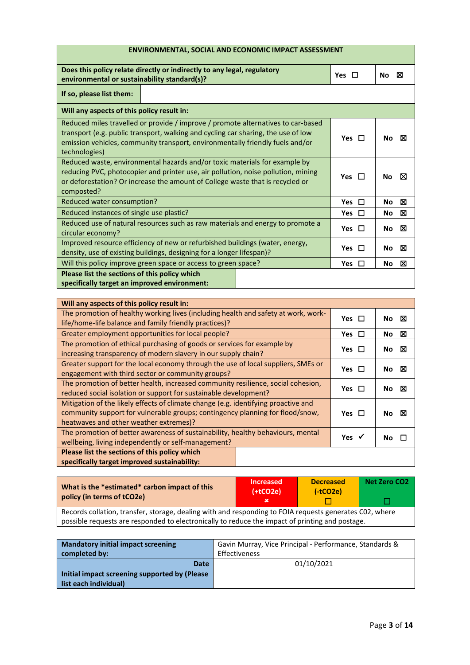| <b>ENVIRONMENTAL, SOCIAL AND ECONOMIC IMPACT ASSESSMENT</b>                                                                                                                                                                                                             |            |                |  |
|-------------------------------------------------------------------------------------------------------------------------------------------------------------------------------------------------------------------------------------------------------------------------|------------|----------------|--|
| Does this policy relate directly or indirectly to any legal, regulatory<br>environmental or sustainability standard(s)?                                                                                                                                                 | Yes $\Box$ | ⊠<br><b>No</b> |  |
| If so, please list them:                                                                                                                                                                                                                                                |            |                |  |
| Will any aspects of this policy result in:                                                                                                                                                                                                                              |            |                |  |
| Reduced miles travelled or provide / improve / promote alternatives to car-based<br>transport (e.g. public transport, walking and cycling car sharing, the use of low<br>emission vehicles, community transport, environmentally friendly fuels and/or<br>technologies) | Yes $\Box$ | ⊠<br><b>No</b> |  |
| Reduced waste, environmental hazards and/or toxic materials for example by<br>reducing PVC, photocopier and printer use, air pollution, noise pollution, mining<br>or deforestation? Or increase the amount of College waste that is recycled or<br>composted?          |            | ⊠<br><b>No</b> |  |
| Reduced water consumption?<br>$\Box$<br><b>Yes</b>                                                                                                                                                                                                                      |            | ⊠<br>No        |  |
| Reduced instances of single use plastic?                                                                                                                                                                                                                                |            | ⊠<br>No        |  |
| Reduced use of natural resources such as raw materials and energy to promote a<br>circular economy?                                                                                                                                                                     | Yes $\Box$ | ⊠<br><b>No</b> |  |
| Improved resource efficiency of new or refurbished buildings (water, energy,<br>density, use of existing buildings, designing for a longer lifespan)?                                                                                                                   |            | ⊠<br><b>No</b> |  |
| Will this policy improve green space or access to green space?                                                                                                                                                                                                          |            | X<br>No        |  |
| Please list the sections of this policy which<br>specifically target an improved environment:                                                                                                                                                                           |            |                |  |

| Will any aspects of this policy result in:                                         |                  |             |
|------------------------------------------------------------------------------------|------------------|-------------|
| The promotion of healthy working lives (including health and safety at work, work- |                  | No $\nabla$ |
| life/home-life balance and family friendly practices)?                             |                  |             |
| Greater employment opportunities for local people?                                 | Yes $\Box$       | ×<br>No.    |
| The promotion of ethical purchasing of goods or services for example by            | Yes $\Box$       | ⊠<br>No.    |
| increasing transparency of modern slavery in our supply chain?                     |                  |             |
| Greater support for the local economy through the use of local suppliers, SMEs or  | Yes $\Box$       | ⊠           |
| engagement with third sector or community groups?                                  |                  | No.         |
| The promotion of better health, increased community resilience, social cohesion,   |                  | ⊠           |
| reduced social isolation or support for sustainable development?                   | Yes $\Box$       | No l        |
| Mitigation of the likely effects of climate change (e.g. identifying proactive and |                  |             |
| community support for vulnerable groups; contingency planning for flood/snow,      |                  | ⊠<br>No l   |
| heatwaves and other weather extremes)?                                             |                  |             |
| The promotion of better awareness of sustainability, healthy behaviours, mental    |                  |             |
| wellbeing, living independently or self-management?                                | Yes $\checkmark$ | No.         |
| Please list the sections of this policy which                                      |                  |             |
| specifically target improved sustainability:                                       |                  |             |

| What is the *estimated* carbon impact of this<br>policy (in terms of tCO2e)                          | <b>Increased</b><br>$(+tCO2e)$ | <b>Decreased</b><br>$(-tCO2e)$ | Net Zero CO <sub>2</sub> |
|------------------------------------------------------------------------------------------------------|--------------------------------|--------------------------------|--------------------------|
|                                                                                                      |                                |                                |                          |
| Records collation transfer storage dealing with and responding to FOIA requests generates CO2, where |                                |                                |                          |

Records collation, transfer, storage, dealing with and responding to FOIA requests generates C02, where possible requests are responded to electronically to reduce the impact of printing and postage.

| <b>Mandatory initial impact screening</b>     | Gavin Murray, Vice Principal - Performance, Standards & |
|-----------------------------------------------|---------------------------------------------------------|
| completed by:                                 | Effectiveness                                           |
| Date                                          | 01/10/2021                                              |
| Initial impact screening supported by (Please |                                                         |
| list each individual)                         |                                                         |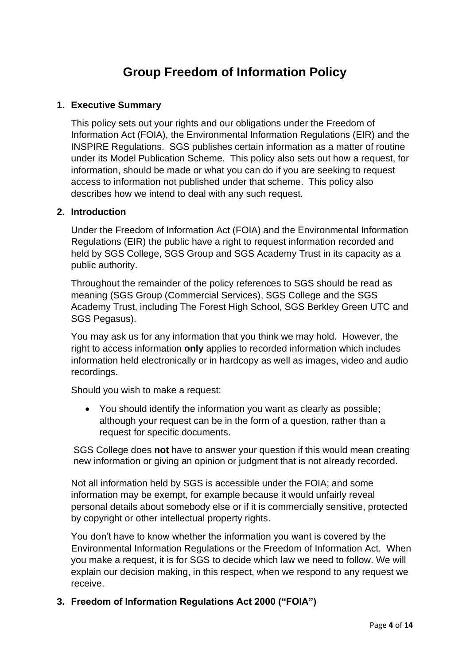# **Group Freedom of Information Policy**

#### **1. Executive Summary**

This policy sets out your rights and our obligations under the Freedom of Information Act (FOIA), the Environmental Information Regulations (EIR) and the INSPIRE Regulations. SGS publishes certain information as a matter of routine under its Model Publication Scheme. This policy also sets out how a request, for information, should be made or what you can do if you are seeking to request access to information not published under that scheme. This policy also describes how we intend to deal with any such request.

#### **2. Introduction**

Under the Freedom of Information Act (FOIA) and the Environmental Information Regulations (EIR) the public have a right to request information recorded and held by SGS College, SGS Group and SGS Academy Trust in its capacity as a public authority.

Throughout the remainder of the policy references to SGS should be read as meaning (SGS Group (Commercial Services), SGS College and the SGS Academy Trust, including The Forest High School, SGS Berkley Green UTC and SGS Pegasus).

You may ask us for any information that you think we may hold. However, the right to access information **only** applies to recorded information which includes information held electronically or in hardcopy as well as images, video and audio recordings.

Should you wish to make a request:

• You should identify the information you want as clearly as possible; although your request can be in the form of a question, rather than a request for specific documents.

SGS College does **not** have to answer your question if this would mean creating new information or giving an opinion or judgment that is not already recorded.

Not all information held by SGS is accessible under the FOIA; and some information may be exempt, for example because it would unfairly reveal personal details about somebody else or if it is commercially sensitive, protected by copyright or other intellectual property rights.

You don't have to know whether the information you want is covered by the Environmental Information Regulations or the Freedom of Information Act. When you make a request, it is for SGS to decide which law we need to follow. We will explain our decision making, in this respect, when we respond to any request we receive.

### **3. Freedom of Information Regulations Act 2000 ("FOIA")**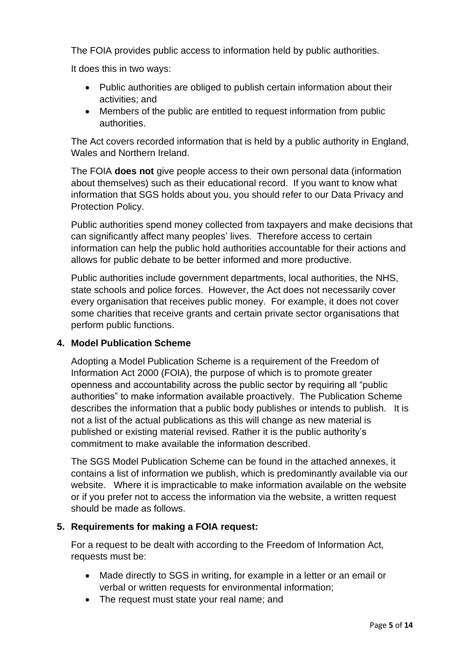The FOIA provides public access to information held by public authorities.

It does this in two ways:

- Public authorities are obliged to publish certain information about their activities; and
- Members of the public are entitled to request information from public authorities.

The Act covers recorded information that is held by a public authority in England, Wales and Northern Ireland.

The FOIA **does not** give people access to their own personal data (information about themselves) such as their educational record. If you want to know what information that SGS holds about you, you should refer to our Data Privacy and Protection Policy.

Public authorities spend money collected from taxpayers and make decisions that can significantly affect many peoples' lives. Therefore access to certain information can help the public hold authorities accountable for their actions and allows for public debate to be better informed and more productive.

Public authorities include government departments, local authorities, the NHS, state schools and police forces. However, the Act does not necessarily cover every organisation that receives public money. For example, it does not cover some charities that receive grants and certain private sector organisations that perform public functions.

#### **4. Model Publication Scheme**

Adopting a Model Publication Scheme is a requirement of the Freedom of Information Act 2000 (FOIA), the purpose of which is to promote greater openness and accountability across the public sector by requiring all "public authorities" to make information available proactively. The Publication Scheme describes the information that a public body publishes or intends to publish. It is not a list of the actual publications as this will change as new material is published or existing material revised. Rather it is the public authority's commitment to make available the information described.

The SGS Model Publication Scheme can be found in the attached annexes, it contains a list of information we publish, which is predominantly available via our website. Where it is impracticable to make information available on the website or if you prefer not to access the information via the website, a written request should be made as follows.

#### **5. Requirements for making a FOIA request:**

For a request to be dealt with according to the Freedom of Information Act, requests must be:

- Made directly to SGS in writing, for example in a letter or an email or verbal or written requests for environmental information;
- The request must state your real name; and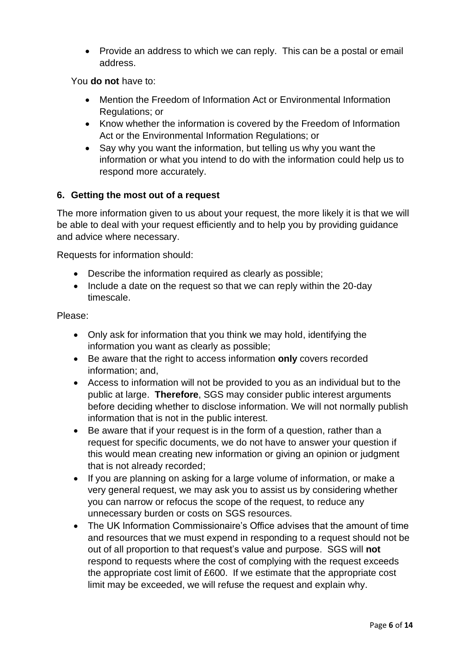• Provide an address to which we can reply. This can be a postal or email address.

You **do not** have to:

- Mention the Freedom of Information Act or Environmental Information Regulations; or
- Know whether the information is covered by the Freedom of Information Act or the Environmental Information Regulations; or
- Say why you want the information, but telling us why you want the information or what you intend to do with the information could help us to respond more accurately.

#### **6. Getting the most out of a request**

The more information given to us about your request, the more likely it is that we will be able to deal with your request efficiently and to help you by providing guidance and advice where necessary.

Requests for information should:

- Describe the information required as clearly as possible;
- Include a date on the request so that we can reply within the 20-day timescale.

Please:

- Only ask for information that you think we may hold, identifying the information you want as clearly as possible;
- Be aware that the right to access information **only** covers recorded information; and,
- Access to information will not be provided to you as an individual but to the public at large. **Therefore**, SGS may consider public interest arguments before deciding whether to disclose information. We will not normally publish information that is not in the public interest.
- Be aware that if your request is in the form of a question, rather than a request for specific documents, we do not have to answer your question if this would mean creating new information or giving an opinion or judgment that is not already recorded;
- If you are planning on asking for a large volume of information, or make a very general request, we may ask you to assist us by considering whether you can narrow or refocus the scope of the request, to reduce any unnecessary burden or costs on SGS resources.
- The UK Information Commissionaire's Office advises that the amount of time and resources that we must expend in responding to a request should not be out of all proportion to that request's value and purpose. SGS will **not** respond to requests where the cost of complying with the request exceeds the appropriate cost limit of £600. If we estimate that the appropriate cost limit may be exceeded, we will refuse the request and explain why.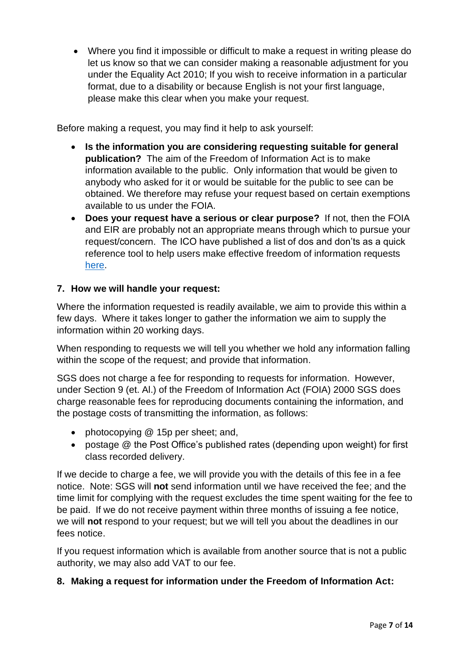• Where you find it impossible or difficult to make a request in writing please do let us know so that we can consider making a reasonable adjustment for you under the Equality Act 2010; If you wish to receive information in a particular format, due to a disability or because English is not your first language, please make this clear when you make your request.

Before making a request, you may find it help to ask yourself:

- **Is the information you are considering requesting suitable for general publication?** The aim of the Freedom of Information Act is to make information available to the public. Only information that would be given to anybody who asked for it or would be suitable for the public to see can be obtained. We therefore may refuse your request based on certain exemptions available to us under the FOIA.
- **Does your request have a serious or clear purpose?** If not, then the FOIA and EIR are probably not an appropriate means through which to pursue your request/concern. The ICO have published a list of dos and don'ts as a quick reference tool to help users make effective freedom of information requests [here.](https://ico.org.uk/your-data-matters/official-information/)

#### **7. How we will handle your request:**

Where the information requested is readily available, we aim to provide this within a few days. Where it takes longer to gather the information we aim to supply the information within 20 working days.

When responding to requests we will tell you whether we hold any information falling within the scope of the request; and provide that information.

SGS does not charge a fee for responding to requests for information. However, under Section 9 (et. Al.) of the Freedom of Information Act (FOIA) 2000 SGS does charge reasonable fees for reproducing documents containing the information, and the postage costs of transmitting the information, as follows:

- photocopying @ 15p per sheet; and,
- postage @ the Post Office's published rates (depending upon weight) for first class recorded delivery.

If we decide to charge a fee, we will provide you with the details of this fee in a fee notice. Note: SGS will **not** send information until we have received the fee; and the time limit for complying with the request excludes the time spent waiting for the fee to be paid. If we do not receive payment within three months of issuing a fee notice, we will **not** respond to your request; but we will tell you about the deadlines in our fees notice.

If you request information which is available from another source that is not a public authority, we may also add VAT to our fee.

#### **8. Making a request for information under the Freedom of Information Act:**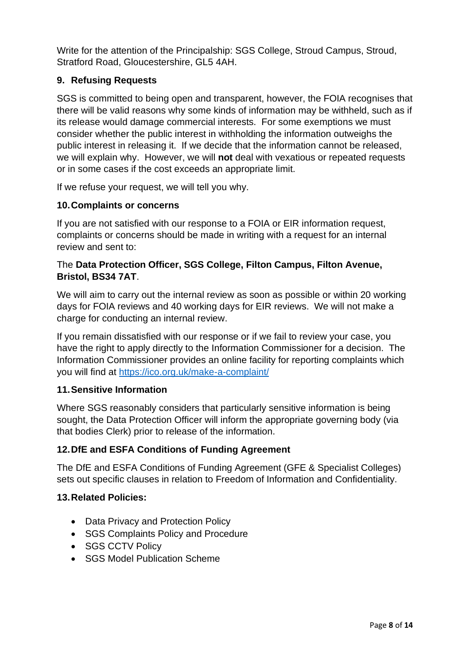Write for the attention of the Principalship: SGS College, Stroud Campus, Stroud, Stratford Road, Gloucestershire, GL5 4AH.

### **9. Refusing Requests**

SGS is committed to being open and transparent, however, the FOIA recognises that there will be valid reasons why some kinds of information may be withheld, such as if its release would damage commercial interests. For some exemptions we must consider whether the public interest in withholding the information outweighs the public interest in releasing it. If we decide that the information cannot be released, we will explain why. However, we will **not** deal with vexatious or repeated requests or in some cases if the cost exceeds an appropriate limit.

If we refuse your request, we will tell you why.

#### **10.Complaints or concerns**

If you are not satisfied with our response to a FOIA or EIR information request, complaints or concerns should be made in writing with a request for an internal review and sent to:

#### The **Data Protection Officer, SGS College, Filton Campus, Filton Avenue, Bristol, BS34 7AT**.

We will aim to carry out the internal review as soon as possible or within 20 working days for FOIA reviews and 40 working days for EIR reviews. We will not make a charge for conducting an internal review.

If you remain dissatisfied with our response or if we fail to review your case, you have the right to apply directly to the Information Commissioner for a decision. The Information Commissioner provides an online facility for reporting complaints which you will find at<https://ico.org.uk/make-a-complaint/>

#### **11.Sensitive Information**

Where SGS reasonably considers that particularly sensitive information is being sought, the Data Protection Officer will inform the appropriate governing body (via that bodies Clerk) prior to release of the information.

#### **12.DfE and ESFA Conditions of Funding Agreement**

The DfE and ESFA Conditions of Funding Agreement (GFE & Specialist Colleges) sets out specific clauses in relation to Freedom of Information and Confidentiality.

#### **13.Related Policies:**

- Data Privacy and Protection Policy
- SGS Complaints Policy and Procedure
- SGS CCTV Policy
- **SGS Model Publication Scheme**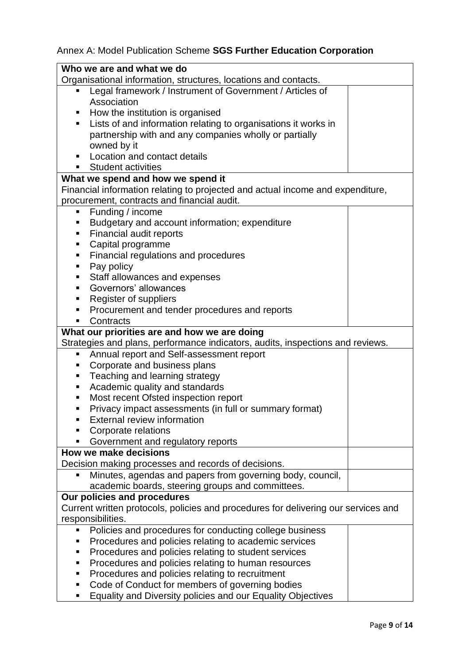## Annex A: Model Publication Scheme **SGS Further Education Corporation**

|   | Who we are and what we do                                                                    |  |
|---|----------------------------------------------------------------------------------------------|--|
|   | Organisational information, structures, locations and contacts.                              |  |
|   | Legal framework / Instrument of Government / Articles of                                     |  |
|   | Association                                                                                  |  |
|   | How the institution is organised                                                             |  |
|   | Lists of and information relating to organisations it works in                               |  |
|   | partnership with and any companies wholly or partially                                       |  |
|   | owned by it                                                                                  |  |
|   | Location and contact details                                                                 |  |
|   | <b>Student activities</b>                                                                    |  |
|   | What we spend and how we spend it                                                            |  |
|   | Financial information relating to projected and actual income and expenditure,               |  |
|   | procurement, contracts and financial audit.                                                  |  |
| Ξ | Funding / income                                                                             |  |
|   | Budgetary and account information; expenditure                                               |  |
| ٠ | Financial audit reports                                                                      |  |
| ٠ | Capital programme                                                                            |  |
|   | Financial regulations and procedures                                                         |  |
| ٠ | Pay policy                                                                                   |  |
|   | Staff allowances and expenses                                                                |  |
|   | Governors' allowances                                                                        |  |
|   | Register of suppliers                                                                        |  |
|   | Procurement and tender procedures and reports                                                |  |
|   | Contracts                                                                                    |  |
|   | What our priorities are and how we are doing                                                 |  |
|   | Strategies and plans, performance indicators, audits, inspections and reviews.               |  |
| ш | Annual report and Self-assessment report                                                     |  |
|   | Corporate and business plans                                                                 |  |
| ٠ | Teaching and learning strategy                                                               |  |
| ٠ | Academic quality and standards                                                               |  |
| п | Most recent Ofsted inspection report                                                         |  |
|   | Privacy impact assessments (in full or summary format)<br><b>External review information</b> |  |
|   | Corporate relations                                                                          |  |
|   |                                                                                              |  |
|   | Government and regulatory reports<br>How we make decisions                                   |  |
|   | Decision making processes and records of decisions.                                          |  |
|   | Minutes, agendas and papers from governing body, council,                                    |  |
|   | academic boards, steering groups and committees.                                             |  |
|   | Our policies and procedures                                                                  |  |
|   | Current written protocols, policies and procedures for delivering our services and           |  |
|   | responsibilities.                                                                            |  |
|   | Policies and procedures for conducting college business                                      |  |
|   | Procedures and policies relating to academic services                                        |  |
|   | Procedures and policies relating to student services                                         |  |
|   | Procedures and policies relating to human resources                                          |  |
|   | Procedures and policies relating to recruitment                                              |  |
|   | Code of Conduct for members of governing bodies                                              |  |
|   | Equality and Diversity policies and our Equality Objectives                                  |  |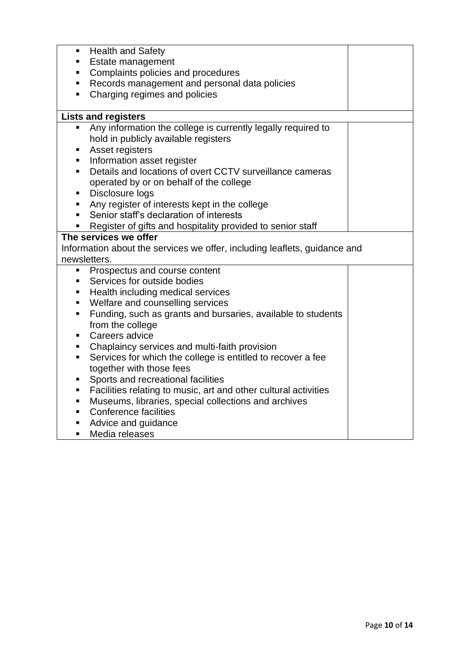| ٠  | <b>Health and Safety</b>                                                  |  |
|----|---------------------------------------------------------------------------|--|
| ٠  | Estate management                                                         |  |
| ٠  | Complaints policies and procedures                                        |  |
|    | Records management and personal data policies                             |  |
| π. | Charging regimes and policies                                             |  |
|    |                                                                           |  |
|    | <b>Lists and registers</b>                                                |  |
| п  | Any information the college is currently legally required to              |  |
|    | hold in publicly available registers                                      |  |
| п  | Asset registers                                                           |  |
| ш  | Information asset register                                                |  |
| ٠  | Details and locations of overt CCTV surveillance cameras                  |  |
|    | operated by or on behalf of the college                                   |  |
| ٠  | Disclosure logs                                                           |  |
| π. | Any register of interests kept in the college                             |  |
| π. | Senior staff's declaration of interests                                   |  |
| ш  | Register of gifts and hospitality provided to senior staff                |  |
|    | The services we offer                                                     |  |
|    | Information about the services we offer, including leaflets, guidance and |  |
|    | newsletters.                                                              |  |
| п  | Prospectus and course content                                             |  |
| ٠  | Services for outside bodies                                               |  |
| ٠  | Health including medical services                                         |  |
| ٠  | Welfare and counselling services                                          |  |
| ٠  | Funding, such as grants and bursaries, available to students              |  |
|    | from the college                                                          |  |
| ٠  | Careers advice                                                            |  |
| ٠  | Chaplaincy services and multi-faith provision                             |  |
| ٠  | Services for which the college is entitled to recover a fee               |  |
|    | together with those fees                                                  |  |
| п  | Sports and recreational facilities                                        |  |
| ш  | Facilities relating to music, art and other cultural activities           |  |
| ٠  | Museums, libraries, special collections and archives                      |  |
| п  | <b>Conference facilities</b>                                              |  |
| ш  | Advice and guidance                                                       |  |
|    | Media releases                                                            |  |
| п  |                                                                           |  |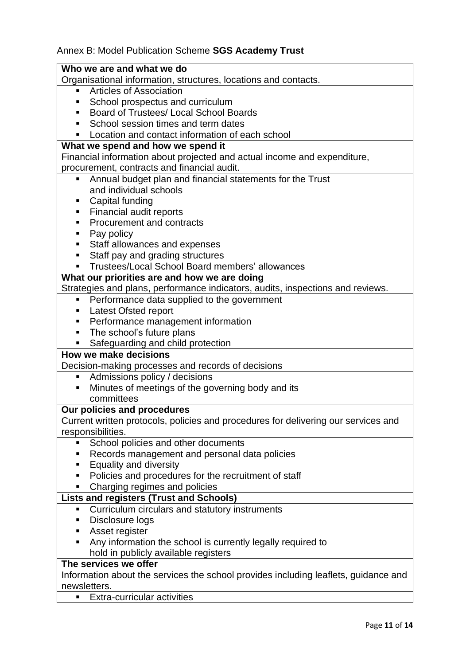## Annex B: Model Publication Scheme **SGS Academy Trust**

| Who we are and what we do                                                           |  |
|-------------------------------------------------------------------------------------|--|
| Organisational information, structures, locations and contacts.                     |  |
| Articles of Association                                                             |  |
| School prospectus and curriculum                                                    |  |
| Board of Trustees/ Local School Boards                                              |  |
| School session times and term dates                                                 |  |
| Location and contact information of each school                                     |  |
| What we spend and how we spend it                                                   |  |
| Financial information about projected and actual income and expenditure,            |  |
| procurement, contracts and financial audit.                                         |  |
| Annual budget plan and financial statements for the Trust<br>٠                      |  |
| and individual schools                                                              |  |
| Capital funding                                                                     |  |
| Financial audit reports                                                             |  |
| Procurement and contracts                                                           |  |
| Pay policy                                                                          |  |
| Staff allowances and expenses<br>п                                                  |  |
| Staff pay and grading structures<br>п                                               |  |
| Trustees/Local School Board members' allowances                                     |  |
| What our priorities are and how we are doing                                        |  |
| Strategies and plans, performance indicators, audits, inspections and reviews.      |  |
| Performance data supplied to the government<br>п                                    |  |
| Latest Ofsted report                                                                |  |
| Performance management information                                                  |  |
| The school's future plans                                                           |  |
| Safeguarding and child protection                                                   |  |
| <b>How we make decisions</b>                                                        |  |
| Decision-making processes and records of decisions                                  |  |
| Admissions policy / decisions<br>Е                                                  |  |
| Minutes of meetings of the governing body and its                                   |  |
| committees                                                                          |  |
| Our policies and procedures                                                         |  |
| Current written protocols, policies and procedures for delivering our services and  |  |
| responsibilities.                                                                   |  |
| School policies and other documents                                                 |  |
| Records management and personal data policies                                       |  |
| <b>Equality and diversity</b><br>п                                                  |  |
| Policies and procedures for the recruitment of staff<br>п                           |  |
| Charging regimes and policies                                                       |  |
| <b>Lists and registers (Trust and Schools)</b>                                      |  |
| Curriculum circulars and statutory instruments<br>ш                                 |  |
| Disclosure logs                                                                     |  |
| Asset register                                                                      |  |
| Any information the school is currently legally required to                         |  |
| hold in publicly available registers                                                |  |
| The services we offer                                                               |  |
| Information about the services the school provides including leaflets, guidance and |  |
| newsletters.                                                                        |  |
| <b>Extra-curricular activities</b><br>٠                                             |  |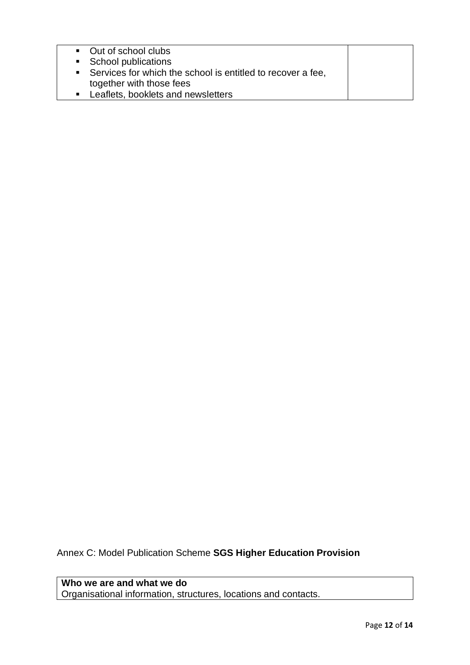| • Out of school clubs                                       |  |
|-------------------------------------------------------------|--|
| • School publications                                       |  |
| Services for which the school is entitled to recover a fee, |  |
| together with those fees                                    |  |
| Leaflets, booklets and newsletters                          |  |

Annex C: Model Publication Scheme **SGS Higher Education Provision**

**Who we are and what we do**  Organisational information, structures, locations and contacts.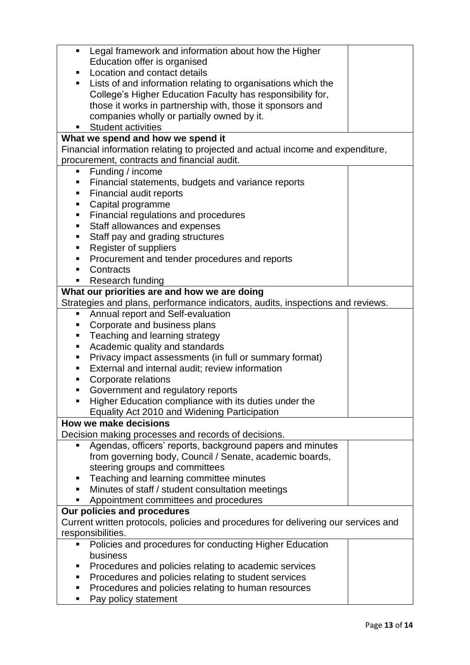| ٠                                                                                  | Legal framework and information about how the Higher                           |  |  |  |
|------------------------------------------------------------------------------------|--------------------------------------------------------------------------------|--|--|--|
|                                                                                    | Education offer is organised                                                   |  |  |  |
| ٠                                                                                  | Location and contact details                                                   |  |  |  |
| ш                                                                                  | Lists of and information relating to organisations which the                   |  |  |  |
|                                                                                    | College's Higher Education Faculty has responsibility for,                     |  |  |  |
|                                                                                    | those it works in partnership with, those it sponsors and                      |  |  |  |
|                                                                                    | companies wholly or partially owned by it.                                     |  |  |  |
|                                                                                    | <b>Student activities</b>                                                      |  |  |  |
|                                                                                    | What we spend and how we spend it                                              |  |  |  |
|                                                                                    | Financial information relating to projected and actual income and expenditure, |  |  |  |
|                                                                                    | procurement, contracts and financial audit.                                    |  |  |  |
| п                                                                                  | Funding / income                                                               |  |  |  |
| ٠                                                                                  | Financial statements, budgets and variance reports                             |  |  |  |
| ٠                                                                                  | Financial audit reports                                                        |  |  |  |
| Ξ                                                                                  | Capital programme                                                              |  |  |  |
| Ξ                                                                                  | Financial regulations and procedures                                           |  |  |  |
| п                                                                                  | Staff allowances and expenses                                                  |  |  |  |
| П                                                                                  | Staff pay and grading structures                                               |  |  |  |
| ٠                                                                                  | Register of suppliers                                                          |  |  |  |
| п                                                                                  | Procurement and tender procedures and reports                                  |  |  |  |
| ٠                                                                                  | Contracts                                                                      |  |  |  |
| П                                                                                  | Research funding                                                               |  |  |  |
|                                                                                    | What our priorities are and how we are doing                                   |  |  |  |
|                                                                                    | Strategies and plans, performance indicators, audits, inspections and reviews. |  |  |  |
| ٠                                                                                  | Annual report and Self-evaluation                                              |  |  |  |
| п                                                                                  | Corporate and business plans                                                   |  |  |  |
| ٠                                                                                  | Teaching and learning strategy                                                 |  |  |  |
| П                                                                                  | Academic quality and standards                                                 |  |  |  |
| П                                                                                  | Privacy impact assessments (in full or summary format)                         |  |  |  |
| ٠                                                                                  | External and internal audit; review information                                |  |  |  |
|                                                                                    |                                                                                |  |  |  |
| п<br>٠                                                                             | Corporate relations                                                            |  |  |  |
|                                                                                    | Government and regulatory reports                                              |  |  |  |
|                                                                                    | Higher Education compliance with its duties under the                          |  |  |  |
|                                                                                    | Equality Act 2010 and Widening Participation<br><b>How we make decisions</b>   |  |  |  |
|                                                                                    |                                                                                |  |  |  |
|                                                                                    | Decision making processes and records of decisions.                            |  |  |  |
| п                                                                                  | Agendas, officers' reports, background papers and minutes                      |  |  |  |
|                                                                                    | from governing body, Council / Senate, academic boards,                        |  |  |  |
|                                                                                    | steering groups and committees                                                 |  |  |  |
| П                                                                                  | Teaching and learning committee minutes                                        |  |  |  |
| ٠                                                                                  | Minutes of staff / student consultation meetings                               |  |  |  |
|                                                                                    | Appointment committees and procedures                                          |  |  |  |
| Our policies and procedures                                                        |                                                                                |  |  |  |
| Current written protocols, policies and procedures for delivering our services and |                                                                                |  |  |  |
| responsibilities.                                                                  |                                                                                |  |  |  |
| П                                                                                  | Policies and procedures for conducting Higher Education                        |  |  |  |
|                                                                                    | business                                                                       |  |  |  |
|                                                                                    | Procedures and policies relating to academic services                          |  |  |  |
| п                                                                                  | Procedures and policies relating to student services                           |  |  |  |
| п                                                                                  | Procedures and policies relating to human resources                            |  |  |  |
| п                                                                                  | Pay policy statement                                                           |  |  |  |